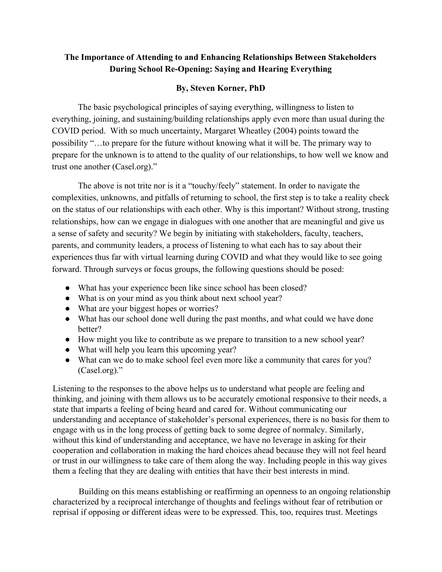## **The Importance of Attending to and Enhancing Relationships Between Stakeholders During School Re-Opening: Saying and Hearing Everything**

## **By, Steven Korner, PhD**

The basic psychological principles of saying everything, willingness to listen to everything, joining, and sustaining/building relationships apply even more than usual during the COVID period. With so much uncertainty, Margaret Wheatley (2004) points toward the possibility "…to prepare for the future without knowing what it will be. The primary way to prepare for the unknown is to attend to the quality of our relationships, to how well we know and trust one another (Casel.org)."

The above is not trite nor is it a "touchy/feely" statement. In order to navigate the complexities, unknowns, and pitfalls of returning to school, the first step is to take a reality check on the status of our relationships with each other. Why is this important? Without strong, trusting relationships, how can we engage in dialogues with one another that are meaningful and give us a sense of safety and security? We begin by initiating with stakeholders, faculty, teachers, parents, and community leaders, a process of listening to what each has to say about their experiences thus far with virtual learning during COVID and what they would like to see going forward. Through surveys or focus groups, the following questions should be posed:

- What has your experience been like since school has been closed?
- What is on your mind as you think about next school year?
- What are your biggest hopes or worries?
- What has our school done well during the past months, and what could we have done better?
- How might you like to contribute as we prepare to transition to a new school year?
- What will help you learn this upcoming year?
- What can we do to make school feel even more like a community that cares for you? (Casel.org)."

Listening to the responses to the above helps us to understand what people are feeling and thinking, and joining with them allows us to be accurately emotional responsive to their needs, a state that imparts a feeling of being heard and cared for. Without communicating our understanding and acceptance of stakeholder's personal experiences, there is no basis for them to engage with us in the long process of getting back to some degree of normalcy. Similarly, without this kind of understanding and acceptance, we have no leverage in asking for their cooperation and collaboration in making the hard choices ahead because they will not feel heard or trust in our willingness to take care of them along the way. Including people in this way gives them a feeling that they are dealing with entities that have their best interests in mind.

Building on this means establishing or reaffirming an openness to an ongoing relationship characterized by a reciprocal interchange of thoughts and feelings without fear of retribution or reprisal if opposing or different ideas were to be expressed. This, too, requires trust. Meetings